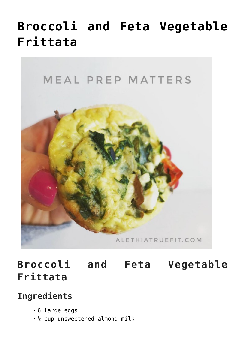## **[Broccoli and Feta Vegetable](https://alethiatruefit.com/recipes/breakfast/recipes-breakfast-broccoli-and-feta-vegetable-frittata/) [Frittata](https://alethiatruefit.com/recipes/breakfast/recipes-breakfast-broccoli-and-feta-vegetable-frittata/)**



**Broccoli and Feta Vegetable Frittata**

## **Ingredients**

- 6 large eggs
- $\frac{1}{4}$  cup unsweetened almond milk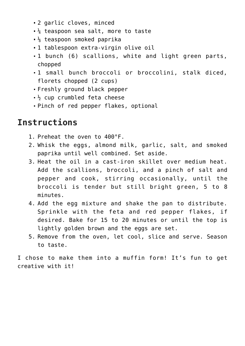- 2 garlic cloves, minced
- $\frac{1}{4}$  teaspoon sea salt, more to taste
- $\frac{1}{8}$  teaspoon smoked paprika
- 1 tablespoon extra-virgin olive oil
- 1 bunch (6) scallions, white and light green parts, chopped
- 1 small bunch broccoli or broccolini, stalk diced, florets chopped (2 cups)
- Freshly ground black pepper
- $\frac{1}{2}$  cup crumbled feta cheese
- Pinch of red pepper flakes, optional

## **Instructions**

- 1. Preheat the oven to 400°F.
- 2. Whisk the eggs, almond milk, garlic, salt, and smoked paprika until well combined. Set aside.
- 3. Heat the oil in a cast-iron skillet over medium heat. Add the scallions, broccoli, and a pinch of salt and pepper and cook, stirring occasionally, until the broccoli is tender but still bright green, 5 to 8 minutes.
- 4. Add the egg mixture and shake the pan to distribute. Sprinkle with the feta and red pepper flakes, if desired. Bake for 15 to 20 minutes or until the top is lightly golden brown and the eggs are set.
- 5. Remove from the oven, let cool, slice and serve. Season to taste.

I chose to make them into a muffin form! It's fun to get creative with it!